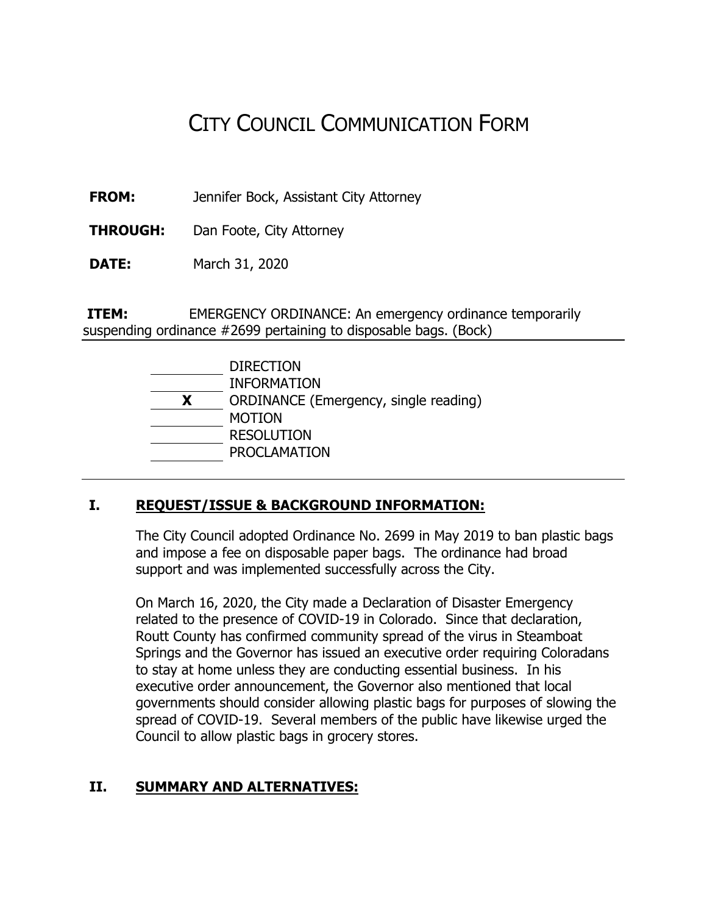# CITY COUNCIL COMMUNICATION FORM

**FROM:** Jennifer Bock, Assistant City Attorney

**THROUGH:** Dan Foote, City Attorney

**DATE:** March 31, 2020

**ITEM:** EMERGENCY ORDINANCE: An emergency ordinance temporarily suspending ordinance #2699 pertaining to disposable bags. (Bock)

|   | <b>DIRECTION</b>                      |
|---|---------------------------------------|
|   | <b>INFORMATION</b>                    |
| x | ORDINANCE (Emergency, single reading) |
|   | <b>MOTION</b>                         |
|   | <b>RESOLUTION</b>                     |
|   | <b>PROCLAMATION</b>                   |

#### **I. REQUEST/ISSUE & BACKGROUND INFORMATION:**

The City Council adopted Ordinance No. 2699 in May 2019 to ban plastic bags and impose a fee on disposable paper bags. The ordinance had broad support and was implemented successfully across the City.

On March 16, 2020, the City made a Declaration of Disaster Emergency related to the presence of COVID-19 in Colorado. Since that declaration, Routt County has confirmed community spread of the virus in Steamboat Springs and the Governor has issued an executive order requiring Coloradans to stay at home unless they are conducting essential business. In his executive order announcement, the Governor also mentioned that local governments should consider allowing plastic bags for purposes of slowing the spread of COVID-19. Several members of the public have likewise urged the Council to allow plastic bags in grocery stores.

#### **II. SUMMARY AND ALTERNATIVES:**